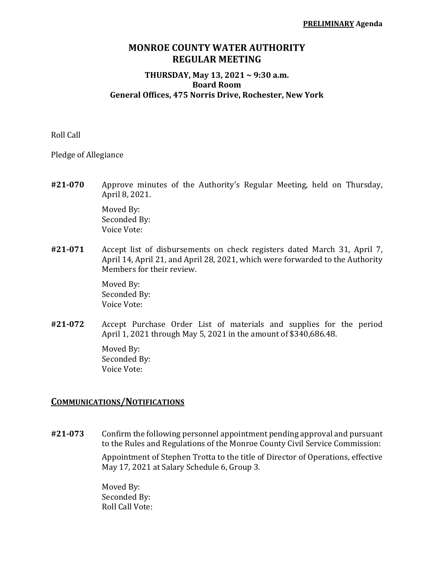# **MONROE COUNTY WATER AUTHORITY REGULAR MEETING**

#### **THURSDAY, May 13, 2021 ~ 9:30 a.m. Board Room General Offices, 475 Norris Drive, Rochester, New York**

Roll Call

Pledge of Allegiance

**#21‐070** Approve minutes of the Authority's Regular Meeting, held on Thursday, April 8, 2021.

> Moved By: Seconded By: Voice Vote:

**#21‐071** Accept list of disbursements on check registers dated March 31, April 7, April 14, April 21, and April 28, 2021, which were forwarded to the Authority Members for their review.

> Moved By: Seconded By: Voice Vote:

**#21‐072** Accept Purchase Order List of materials and supplies for the period April 1, 2021 through May 5, 2021 in the amount of \$340,686.48.

> Moved By: Seconded By: Voice Vote:

#### **COMMUNICATIONS/NOTIFICATIONS**

**#21‐073** Confirm the following personnel appointment pending approval and pursuant to the Rules and Regulations of the Monroe County Civil Service Commission:

> Appointment of Stephen Trotta to the title of Director of Operations, effective May 17, 2021 at Salary Schedule 6, Group 3.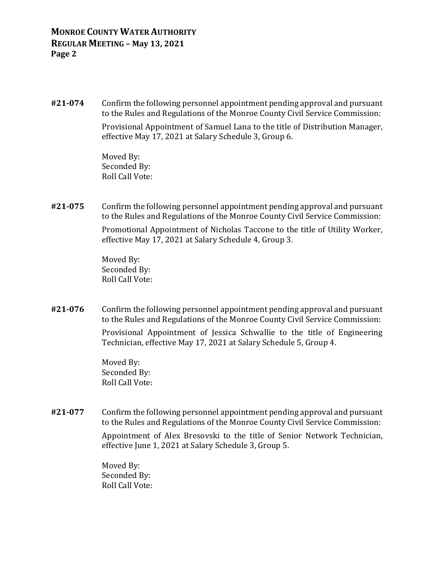**#21‐074** Confirm the following personnel appointment pending approval and pursuant to the Rules and Regulations of the Monroe County Civil Service Commission:

> Provisional Appointment of Samuel Lana to the title of Distribution Manager, effective May 17, 2021 at Salary Schedule 3, Group 6.

 Moved By: Seconded By: Roll Call Vote:

**#21‐075** Confirm the following personnel appointment pending approval and pursuant to the Rules and Regulations of the Monroe County Civil Service Commission:

> Promotional Appointment of Nicholas Taccone to the title of Utility Worker, effective May 17, 2021 at Salary Schedule 4, Group 3.

 Moved By: Seconded By: Roll Call Vote:

**#21‐076** Confirm the following personnel appointment pending approval and pursuant to the Rules and Regulations of the Monroe County Civil Service Commission:

> Provisional Appointment of Jessica Schwallie to the title of Engineering Technician, effective May 17, 2021 at Salary Schedule 5, Group 4.

 Moved By: Seconded By: Roll Call Vote:

**#21‐077** Confirm the following personnel appointment pending approval and pursuant to the Rules and Regulations of the Monroe County Civil Service Commission:

> Appointment of Alex Bresovski to the title of Senior Network Technician, effective June 1, 2021 at Salary Schedule 3, Group 5.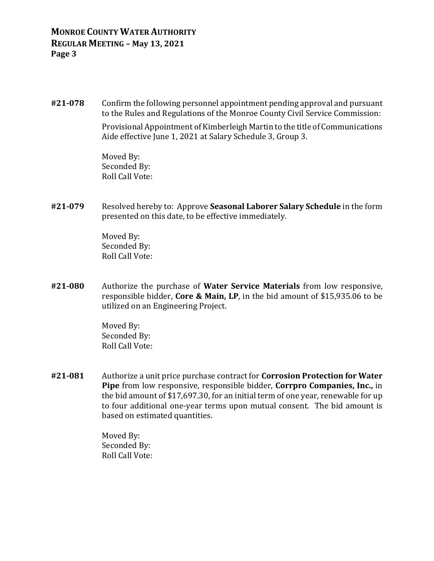**#21‐078** Confirm the following personnel appointment pending approval and pursuant to the Rules and Regulations of the Monroe County Civil Service Commission:

> Provisional Appointment of Kimberleigh Martin to the title of Communications Aide effective June 1, 2021 at Salary Schedule 3, Group 3.

 Moved By: Seconded By: Roll Call Vote:

**#21‐079** Resolved hereby to: Approve **Seasonal Laborer Salary Schedule** in the form presented on this date, to be effective immediately.

> Moved By: Seconded By: Roll Call Vote:

**#21‐080** Authorize the purchase of **Water Service Materials** from low responsive, responsible bidder, **Core & Main, LP**, in the bid amount of \$15,935.06 to be utilized on an Engineering Project.

> Moved By: Seconded By: Roll Call Vote:

**#21‐081** Authorize a unit price purchase contract for **Corrosion Protection for Water Pipe** from low responsive, responsible bidder, **Corrpro Companies, Inc.,** in the bid amount of \$17,697.30, for an initial term of one year, renewable for up to four additional one-year terms upon mutual consent. The bid amount is based on estimated quantities.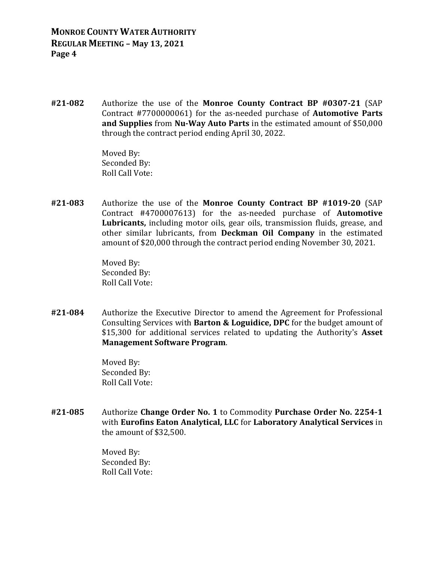**#21‐082** Authorize the use of the **Monroe County Contract BP #0307‐21** (SAP Contract #7700000061) for the as-needed purchase of **Automotive Parts and Supplies** from **Nu‐Way Auto Parts** in the estimated amount of \$50,000 through the contract period ending April 30, 2022.

> Moved By: Seconded By: Roll Call Vote:

**#21‐083** Authorize the use of the **Monroe County Contract BP #1019‐20** (SAP Contract #4700007613) for the as-needed purchase of **Automotive Lubricants,** including motor oils, gear oils, transmission fluids, grease, and other similar lubricants, from **Deckman Oil Company** in the estimated amount of \$20,000 through the contract period ending November 30, 2021.

> Moved By: Seconded By: Roll Call Vote:

**#21‐084** Authorize the Executive Director to amend the Agreement for Professional Consulting Services with **Barton & Loguidice, DPC** for the budget amount of \$15,300 for additional services related to updating the Authority's **Asset Management Software Program**.

> Moved By: Seconded By: Roll Call Vote:

**#21‐085** Authorize **Change Order No. 1** to Commodity **Purchase Order No. 2254‐1** with **Eurofins Eaton Analytical, LLC** for **Laboratory Analytical Services** in the amount of \$32,500.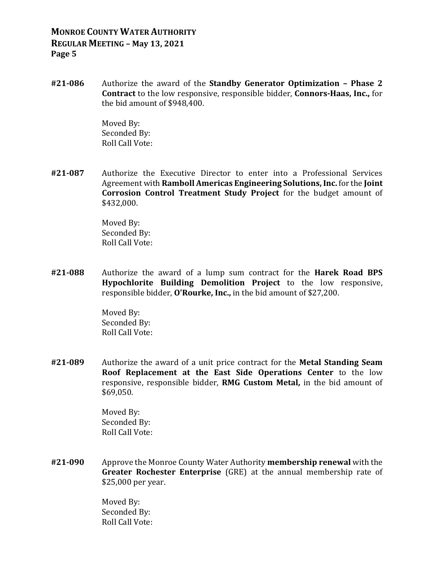**#21‐086** Authorize the award of the **Standby Generator Optimization – Phase 2 Contract** to the low responsive, responsible bidder, **Connors‐Haas, Inc.,** for the bid amount of \$948,400.

> Moved By: Seconded By: Roll Call Vote:

**#21‐087** Authorize the Executive Director to enter into a Professional Services Agreement with **Ramboll Americas Engineering Solutions,Inc.** for the **Joint Corrosion Control Treatment Study Project** for the budget amount of \$432,000.

> Moved By: Seconded By: Roll Call Vote:

**#21‐088** Authorize the award of a lump sum contract for the **Harek Road BPS Hypochlorite Building Demolition Project** to the low responsive, responsible bidder, **O'Rourke, Inc.,** in the bid amount of \$27,200.

> Moved By: Seconded By: Roll Call Vote:

**#21‐089** Authorize the award of a unit price contract for the **Metal Standing Seam Roof Replacement at the East Side Operations Center** to the low responsive, responsible bidder, **RMG Custom Metal,** in the bid amount of \$69,050.

> Moved By: Seconded By: Roll Call Vote:

**#21‐090** Approve the Monroe County Water Authority **membership renewal** with the **Greater Rochester Enterprise** (GRE) at the annual membership rate of \$25,000 per year.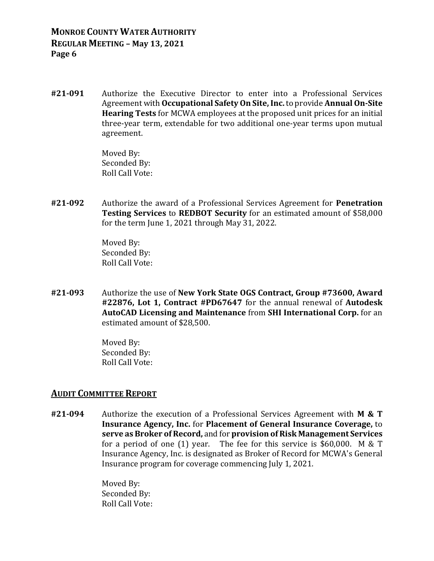**#21‐091** Authorize the Executive Director to enter into a Professional Services Agreement with **Occupational SafetyOn Site,Inc.** to provide **AnnualOn‐Site Hearing Tests** for MCWA employees at the proposed unit prices for an initial three-year term, extendable for two additional one-year terms upon mutual agreement.

> Moved By: Seconded By: Roll Call Vote:

**#21‐092** Authorize the award of a Professional Services Agreement for **Penetration Testing Services** to **REDBOT Security** for an estimated amount of \$58,000 for the term June 1, 2021 through May 31, 2022.

> Moved By: Seconded By: Roll Call Vote:

**#21‐093** Authorize the use of **New York State OGS Contract, Group #73600, Award #22876, Lot 1, Contract #PD67647** for the annual renewal of **Autodesk AutoCAD Licensing and Maintenance** from **SHI International Corp.** for an estimated amount of \$28,500.

> Moved By: Seconded By: Roll Call Vote:

#### **AUDIT COMMITTEE REPORT**

**#21‐094** Authorize the execution of a Professional Services Agreement with **M & T Insurance Agency, Inc.** for **Placement of General Insurance Coverage,** to **serve as Broker of Record,** and for **provision of Risk Management Services** for a period of one (1) year. The fee for this service is \$60,000. M & T Insurance Agency, Inc. is designated as Broker of Record for MCWA's General Insurance program for coverage commencing July 1, 2021.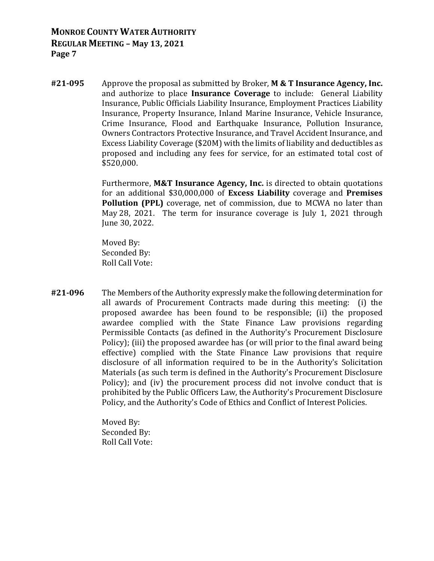**#21‐095** Approve the proposal as submitted by Broker, **M & T Insurance Agency, Inc.** and authorize to place **Insurance Coverage** to include: General Liability Insurance, Public Officials Liability Insurance, Employment Practices Liability Insurance, Property Insurance, Inland Marine Insurance, Vehicle Insurance, Crime Insurance, Flood and Earthquake Insurance, Pollution Insurance, Owners Contractors Protective Insurance, and Travel Accident Insurance, and Excess Liability Coverage (\$20M) with the limits of liability and deductibles as proposed and including any fees for service, for an estimated total cost of \$520,000.

> Furthermore, **M&T Insurance Agency, Inc.** is directed to obtain quotations for an additional \$30,000,000 of **Excess Liability** coverage and **Premises Pollution (PPL)** coverage, net of commission, due to MCWA no later than May 28, 2021. The term for insurance coverage is July 1, 2021 through June 30, 2022.

 Moved By: Seconded By: Roll Call Vote:

**#21‐096** The Members of the Authority expressly make the following determination for all awards of Procurement Contracts made during this meeting: (i) the proposed awardee has been found to be responsible; (ii) the proposed awardee complied with the State Finance Law provisions regarding Permissible Contacts (as defined in the Authority's Procurement Disclosure Policy); (iii) the proposed awardee has (or will prior to the final award being effective) complied with the State Finance Law provisions that require disclosure of all information required to be in the Authority's Solicitation Materials (as such term is defined in the Authority's Procurement Disclosure Policy); and (iv) the procurement process did not involve conduct that is prohibited by the Public Officers Law, the Authority's Procurement Disclosure Policy, and the Authority's Code of Ethics and Conflict of Interest Policies.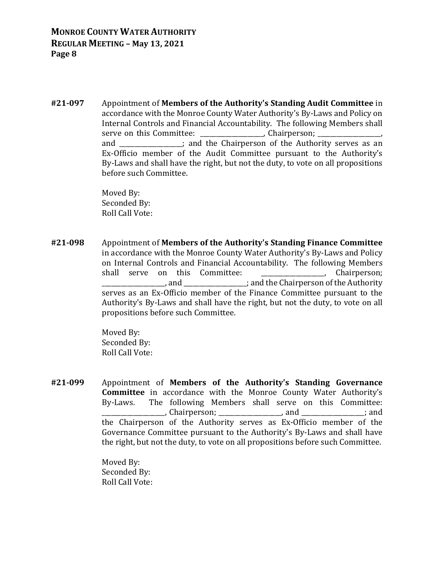**#21‐097** Appointment of **Members of the Authority's Standing Audit Committee** in accordance with the Monroe County Water Authority's By-Laws and Policy on Internal Controls and Financial Accountability. The following Members shall serve on this Committee: example and the Committee: and  $\blacksquare$  and the Chairperson of the Authority serves as an Ex-Officio member of the Audit Committee pursuant to the Authority's By-Laws and shall have the right, but not the duty, to vote on all propositions before such Committee.

> Moved By: Seconded By: Roll Call Vote:

**#21‐098** Appointment of **Members of the Authority's Standing Finance Committee** in accordance with the Monroe County Water Authority's By-Laws and Policy on Internal Controls and Financial Accountability. The following Members shall serve on this Committee: The contract of the chairperson; \_\_\_\_\_\_\_\_\_\_\_\_\_\_\_\_\_\_\_\_, and \_\_\_\_\_\_\_\_\_\_\_\_\_\_\_\_\_\_\_\_; and the Chairperson of the Authority serves as an Ex-Officio member of the Finance Committee pursuant to the Authority's By-Laws and shall have the right, but not the duty, to vote on all propositions before such Committee.

> Moved By: Seconded By: Roll Call Vote:

**#21‐099** Appointment of **Members of the Authority's Standing Governance Committee** in accordance with the Monroe County Water Authority's By-Laws. The following Members shall serve on this Committee: \_\_\_\_\_\_\_\_\_\_\_\_\_\_\_\_\_\_\_\_, Chairperson; \_\_\_\_\_\_\_\_\_\_\_\_\_\_\_\_\_\_\_\_, and \_\_\_\_\_\_\_\_\_\_\_\_\_\_\_\_\_\_\_\_; and the Chairperson of the Authority serves as Ex-Officio member of the Governance Committee pursuant to the Authority's By-Laws and shall have the right, but not the duty, to vote on all propositions before such Committee.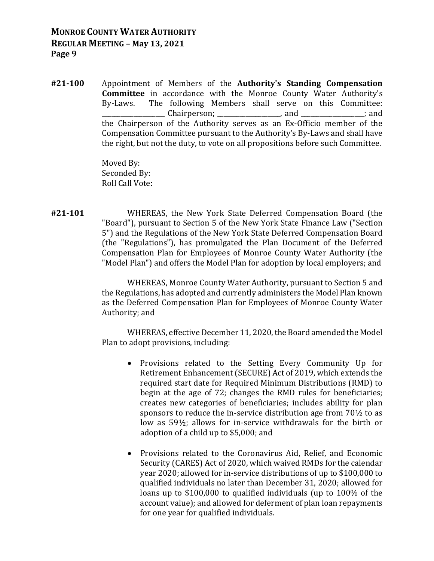**#21‐100** Appointment of Members of the **Authority's Standing Compensation Committee** in accordance with the Monroe County Water Authority's By-Laws. The following Members shall serve on this Committee: \_\_\_\_\_\_\_\_\_\_\_\_\_\_\_\_\_\_\_\_ Chairperson; \_\_\_\_\_\_\_\_\_\_\_\_\_\_\_\_\_\_\_\_, and \_\_\_\_\_\_\_\_\_\_\_\_\_\_\_\_\_\_\_\_; and the Chairperson of the Authority serves as an Ex-Officio member of the Compensation Committee pursuant to the Authority's By-Laws and shall have the right, but not the duty, to vote on all propositions before such Committee.

> Moved By: Seconded By: Roll Call Vote:

**#21‐101** WHEREAS, the New York State Deferred Compensation Board (the "Board"), pursuant to Section 5 of the New York State Finance Law ("Section 5") and the Regulations of the New York State Deferred Compensation Board (the "Regulations"), has promulgated the Plan Document of the Deferred Compensation Plan for Employees of Monroe County Water Authority (the "Model Plan") and offers the Model Plan for adoption by local employers; and

> WHEREAS, Monroe County Water Authority, pursuant to Section 5 and the Regulations, has adopted and currently administers the Model Plan known as the Deferred Compensation Plan for Employees of Monroe County Water Authority; and

> WHEREAS, effective December 11, 2020, the Board amended the Model Plan to adopt provisions, including:

- Provisions related to the Setting Every Community Up for Retirement Enhancement (SECURE) Act of 2019, which extends the required start date for Required Minimum Distributions (RMD) to begin at the age of 72; changes the RMD rules for beneficiaries; creates new categories of beneficiaries; includes ability for plan sponsors to reduce the in-service distribution age from 70½ to as low as 59½; allows for in-service withdrawals for the birth or adoption of a child up to \$5,000; and
- Provisions related to the Coronavirus Aid, Relief, and Economic Security (CARES) Act of 2020, which waived RMDs for the calendar year 2020; allowed for in-service distributions of up to \$100,000 to qualified individuals no later than December 31, 2020; allowed for loans up to \$100,000 to qualified individuals (up to 100% of the account value); and allowed for deferment of plan loan repayments for one year for qualified individuals.